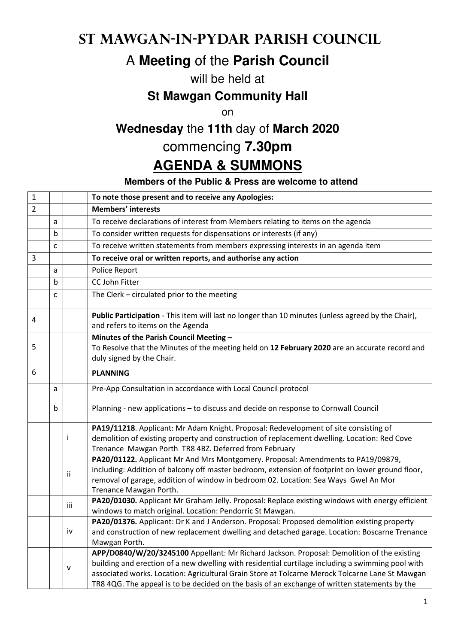## **St Mawgan-in-Pydar Parish Council**

# A **Meeting** of the **Parish Council**

#### will be held at

#### **St Mawgan Community Hall**

on

## **Wednesday** the **11th** day of **March 2020**

### commencing **7.30pm**

## **AGENDA & SUMMONS**

#### **Members of the Public & Press are welcome to attend**

| $\mathbf 1$    |   |              | To note those present and to receive any Apologies:                                                                                                                                                                                                                                                                                                                                                 |
|----------------|---|--------------|-----------------------------------------------------------------------------------------------------------------------------------------------------------------------------------------------------------------------------------------------------------------------------------------------------------------------------------------------------------------------------------------------------|
| $\overline{2}$ |   |              | <b>Members' interests</b>                                                                                                                                                                                                                                                                                                                                                                           |
|                | a |              | To receive declarations of interest from Members relating to items on the agenda                                                                                                                                                                                                                                                                                                                    |
|                | b |              | To consider written requests for dispensations or interests (if any)                                                                                                                                                                                                                                                                                                                                |
|                | C |              | To receive written statements from members expressing interests in an agenda item                                                                                                                                                                                                                                                                                                                   |
| 3              |   |              | To receive oral or written reports, and authorise any action                                                                                                                                                                                                                                                                                                                                        |
|                | a |              | Police Report                                                                                                                                                                                                                                                                                                                                                                                       |
|                | b |              | CC John Fitter                                                                                                                                                                                                                                                                                                                                                                                      |
|                | C |              | The Clerk - circulated prior to the meeting                                                                                                                                                                                                                                                                                                                                                         |
| 4              |   |              | Public Participation - This item will last no longer than 10 minutes (unless agreed by the Chair),<br>and refers to items on the Agenda                                                                                                                                                                                                                                                             |
| 5              |   |              | Minutes of the Parish Council Meeting -<br>To Resolve that the Minutes of the meeting held on 12 February 2020 are an accurate record and<br>duly signed by the Chair.                                                                                                                                                                                                                              |
| 6              |   |              | <b>PLANNING</b>                                                                                                                                                                                                                                                                                                                                                                                     |
|                | a |              | Pre-App Consultation in accordance with Local Council protocol                                                                                                                                                                                                                                                                                                                                      |
|                | b |              | Planning - new applications - to discuss and decide on response to Cornwall Council                                                                                                                                                                                                                                                                                                                 |
|                |   | Ť            | PA19/11218. Applicant: Mr Adam Knight. Proposal: Redevelopment of site consisting of<br>demolition of existing property and construction of replacement dwelling. Location: Red Cove<br>Trenance Mawgan Porth TR8 4BZ. Deferred from February                                                                                                                                                       |
|                |   | ii           | PA20/01122. Applicant Mr And Mrs Montgomery. Proposal: Amendments to PA19/09879,<br>including: Addition of balcony off master bedroom, extension of footprint on lower ground floor,<br>removal of garage, addition of window in bedroom 02. Location: Sea Ways Gwel An Mor<br>Trenance Mawgan Porth.                                                                                               |
|                |   | iii          | PA20/01030. Applicant Mr Graham Jelly. Proposal: Replace existing windows with energy efficient<br>windows to match original. Location: Pendorric St Mawgan.                                                                                                                                                                                                                                        |
|                |   | iv           | PA20/01376. Applicant: Dr K and J Anderson. Proposal: Proposed demolition existing property<br>and construction of new replacement dwelling and detached garage. Location: Boscarne Trenance<br>Mawgan Porth.                                                                                                                                                                                       |
|                |   | $\mathsf{V}$ | APP/D0840/W/20/3245100 Appellant: Mr Richard Jackson. Proposal: Demolition of the existing<br>building and erection of a new dwelling with residential curtilage including a swimming pool with<br>associated works. Location: Agricultural Grain Store at Tolcarne Merock Tolcarne Lane St Mawgan<br>TR8 4QG. The appeal is to be decided on the basis of an exchange of written statements by the |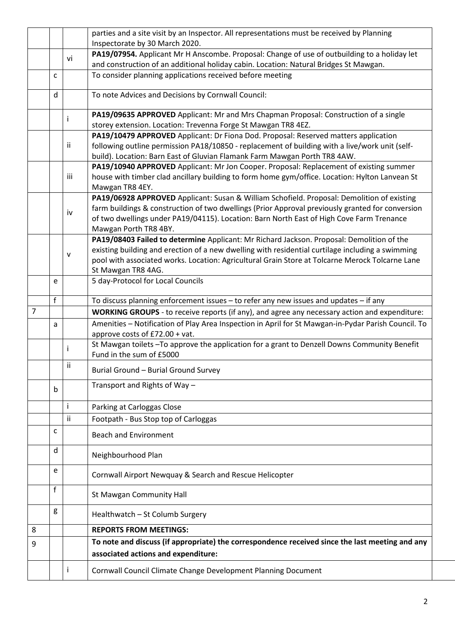|                |              |     | parties and a site visit by an Inspector. All representations must be received by Planning<br>Inspectorate by 30 March 2020. |
|----------------|--------------|-----|------------------------------------------------------------------------------------------------------------------------------|
|                |              |     | PA19/07954. Applicant Mr H Anscombe. Proposal: Change of use of outbuilding to a holiday let                                 |
|                |              | vi  | and construction of an additional holiday cabin. Location: Natural Bridges St Mawgan.                                        |
|                | C            |     | To consider planning applications received before meeting                                                                    |
|                |              |     |                                                                                                                              |
|                | d            |     | To note Advices and Decisions by Cornwall Council:                                                                           |
|                |              |     | PA19/09635 APPROVED Applicant: Mr and Mrs Chapman Proposal: Construction of a single                                         |
|                |              |     | storey extension. Location: Trevenna Forge St Mawgan TR8 4EZ.                                                                |
|                |              |     | PA19/10479 APPROVED Applicant: Dr Fiona Dod. Proposal: Reserved matters application                                          |
|                |              | Ϊİ  | following outline permission PA18/10850 - replacement of building with a live/work unit (self-                               |
|                |              |     | build). Location: Barn East of Gluvian Flamank Farm Mawgan Porth TR8 4AW.                                                    |
|                |              |     | PA19/10940 APPROVED Applicant: Mr Jon Cooper. Proposal: Replacement of existing summer                                       |
|                |              | iii | house with timber clad ancillary building to form home gym/office. Location: Hylton Lanvean St                               |
|                |              |     | Mawgan TR8 4EY.                                                                                                              |
|                |              |     | PA19/06928 APPROVED Applicant: Susan & William Schofield. Proposal: Demolition of existing                                   |
|                |              | iv  | farm buildings & construction of two dwellings (Prior Approval previously granted for conversion                             |
|                |              |     | of two dwellings under PA19/04115). Location: Barn North East of High Cove Farm Trenance                                     |
|                |              |     | Mawgan Porth TR8 4BY.                                                                                                        |
|                |              |     | PA19/08403 Failed to determine Applicant: Mr Richard Jackson. Proposal: Demolition of the                                    |
|                |              | v   | existing building and erection of a new dwelling with residential curtilage including a swimming                             |
|                |              |     | pool with associated works. Location: Agricultural Grain Store at Tolcarne Merock Tolcarne Lane                              |
|                |              |     | St Mawgan TR8 4AG.                                                                                                           |
|                | e            |     | 5 day-Protocol for Local Councils                                                                                            |
|                | $\mathbf f$  |     | To discuss planning enforcement issues - to refer any new issues and updates - if any                                        |
| $\overline{7}$ |              |     | WORKING GROUPS - to receive reports (if any), and agree any necessary action and expenditure:                                |
|                | a            |     | Amenities - Notification of Play Area Inspection in April for St Mawgan-in-Pydar Parish Council. To                          |
|                |              |     | approve costs of £72.00 + vat.                                                                                               |
|                |              |     | St Mawgan toilets - To approve the application for a grant to Denzell Downs Community Benefit                                |
|                |              |     | Fund in the sum of £5000                                                                                                     |
|                |              | ii  | Burial Ground - Burial Ground Survey                                                                                         |
|                | b            |     | Transport and Rights of Way -                                                                                                |
|                |              |     | Parking at Carloggas Close                                                                                                   |
|                |              | ii  | Footpath - Bus Stop top of Carloggas                                                                                         |
|                | $\mathsf{C}$ |     |                                                                                                                              |
|                |              |     | <b>Beach and Environment</b>                                                                                                 |
|                | d            |     | Neighbourhood Plan                                                                                                           |
|                | e            |     | Cornwall Airport Newquay & Search and Rescue Helicopter                                                                      |
|                | f            |     | St Mawgan Community Hall                                                                                                     |
|                | g            |     | Healthwatch - St Columb Surgery                                                                                              |
| 8              |              |     | <b>REPORTS FROM MEETINGS:</b>                                                                                                |
|                |              |     |                                                                                                                              |
| 9              |              |     | To note and discuss (if appropriate) the correspondence received since the last meeting and any                              |
|                |              |     | associated actions and expenditure:                                                                                          |
|                |              |     | Cornwall Council Climate Change Development Planning Document                                                                |